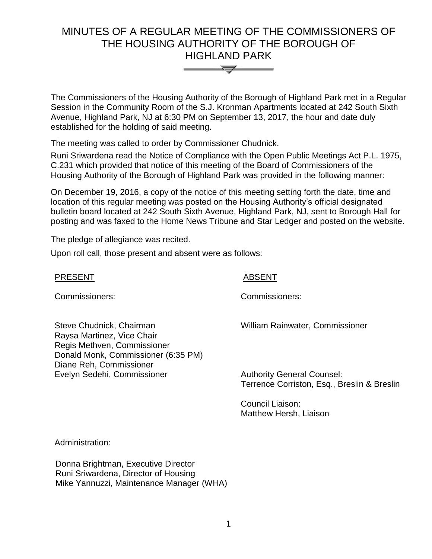# MINUTES OF A REGULAR MEETING OF THE COMMISSIONERS OF THE HOUSING AUTHORITY OF THE BOROUGH OF HIGHLAND PARK



The Commissioners of the Housing Authority of the Borough of Highland Park met in a Regular Session in the Community Room of the S.J. Kronman Apartments located at 242 South Sixth Avenue, Highland Park, NJ at 6:30 PM on September 13, 2017, the hour and date duly established for the holding of said meeting.

The meeting was called to order by Commissioner Chudnick.

Runi Sriwardena read the Notice of Compliance with the Open Public Meetings Act P.L. 1975, C.231 which provided that notice of this meeting of the Board of Commissioners of the Housing Authority of the Borough of Highland Park was provided in the following manner:

On December 19, 2016, a copy of the notice of this meeting setting forth the date, time and location of this regular meeting was posted on the Housing Authority's official designated bulletin board located at 242 South Sixth Avenue, Highland Park, NJ, sent to Borough Hall for posting and was faxed to the Home News Tribune and Star Ledger and posted on the website.

The pledge of allegiance was recited.

Upon roll call, those present and absent were as follows:

# PRESENT ABSENT

Commissioners: Commissioners:

Steve Chudnick, Chairman Raysa Martinez, Vice Chair Regis Methven, Commissioner Donald Monk, Commissioner (6:35 PM) Diane Reh, Commissioner Evelyn Sedehi, Commissioner

Authority General Counsel:

William Rainwater, Commissioner

Terrence Corriston, Esq., Breslin & Breslin

Council Liaison: Matthew Hersh, Liaison

Administration:

 Donna Brightman, Executive Director Runi Sriwardena, Director of Housing Mike Yannuzzi, Maintenance Manager (WHA)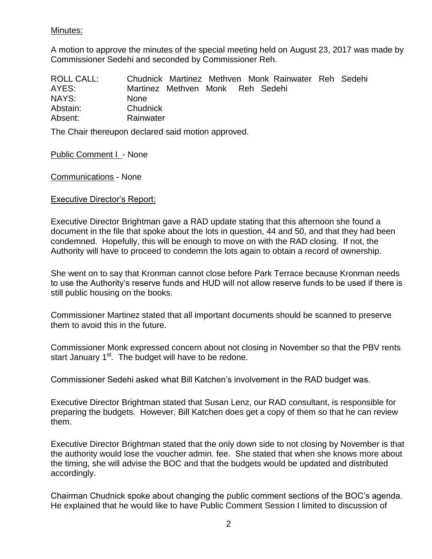# Minutes:

A motion to approve the minutes of the special meeting held on August 23, 2017 was made by Commissioner Sedehi and seconded by Commissioner Reh.

| <b>ROLL CALL:</b> | Chudnick Martinez Methven Monk Rainwater Reh Sedehi |
|-------------------|-----------------------------------------------------|
| AYES:             | Martinez Methven Monk Reh Sedehi                    |
| NAYS:             | <b>None</b>                                         |
| Abstain:          | Chudnick                                            |
| Absent:           | Rainwater                                           |

The Chair thereupon declared said motion approved.

Public Comment I - None

Communications - None

# Executive Director's Report:

Executive Director Brightman gave a RAD update stating that this afternoon she found a document in the file that spoke about the lots in question, 44 and 50, and that they had been condemned. Hopefully, this will be enough to move on with the RAD closing. If not, the Authority will have to proceed to condemn the lots again to obtain a record of ownership.

She went on to say that Kronman cannot close before Park Terrace because Kronman needs to use the Authority's reserve funds and HUD will not allow reserve funds to be used if there is still public housing on the books.

Commissioner Martinez stated that all important documents should be scanned to preserve them to avoid this in the future.

Commissioner Monk expressed concern about not closing in November so that the PBV rents start January  $1<sup>st</sup>$ . The budget will have to be redone.

Commissioner Sedehi asked what Bill Katchen's involvement in the RAD budget was.

Executive Director Brightman stated that Susan Lenz, our RAD consultant, is responsible for preparing the budgets. However, Bill Katchen does get a copy of them so that he can review them.

Executive Director Brightman stated that the only down side to not closing by November is that the authority would lose the voucher admin. fee. She stated that when she knows more about the timing, she will advise the BOC and that the budgets would be updated and distributed accordingly.

Chairman Chudnick spoke about changing the public comment sections of the BOC's agenda. He explained that he would like to have Public Comment Session I limited to discussion of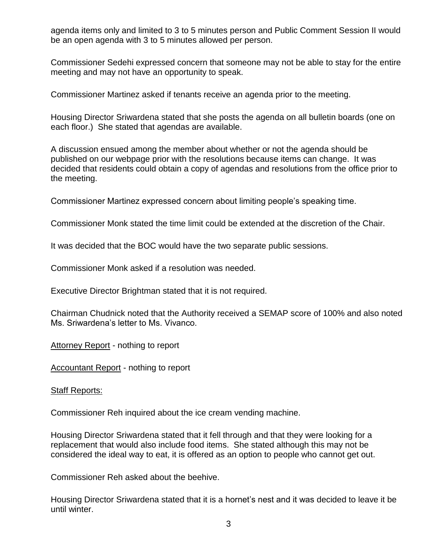agenda items only and limited to 3 to 5 minutes person and Public Comment Session II would be an open agenda with 3 to 5 minutes allowed per person.

Commissioner Sedehi expressed concern that someone may not be able to stay for the entire meeting and may not have an opportunity to speak.

Commissioner Martinez asked if tenants receive an agenda prior to the meeting.

Housing Director Sriwardena stated that she posts the agenda on all bulletin boards (one on each floor.) She stated that agendas are available.

A discussion ensued among the member about whether or not the agenda should be published on our webpage prior with the resolutions because items can change. It was decided that residents could obtain a copy of agendas and resolutions from the office prior to the meeting.

Commissioner Martinez expressed concern about limiting people's speaking time.

Commissioner Monk stated the time limit could be extended at the discretion of the Chair.

It was decided that the BOC would have the two separate public sessions.

Commissioner Monk asked if a resolution was needed.

Executive Director Brightman stated that it is not required.

Chairman Chudnick noted that the Authority received a SEMAP score of 100% and also noted Ms. Sriwardena's letter to Ms. Vivanco.

Attorney Report - nothing to report

Accountant Report - nothing to report

Staff Reports:

Commissioner Reh inquired about the ice cream vending machine.

Housing Director Sriwardena stated that it fell through and that they were looking for a replacement that would also include food items. She stated although this may not be considered the ideal way to eat, it is offered as an option to people who cannot get out.

Commissioner Reh asked about the beehive.

Housing Director Sriwardena stated that it is a hornet's nest and it was decided to leave it be until winter.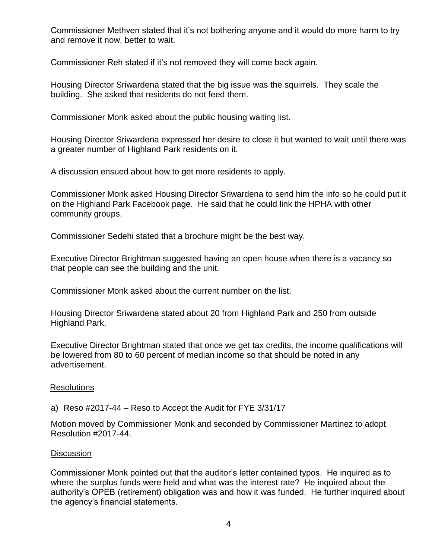Commissioner Methven stated that it's not bothering anyone and it would do more harm to try and remove it now, better to wait.

Commissioner Reh stated if it's not removed they will come back again.

Housing Director Sriwardena stated that the big issue was the squirrels. They scale the building. She asked that residents do not feed them.

Commissioner Monk asked about the public housing waiting list.

Housing Director Sriwardena expressed her desire to close it but wanted to wait until there was a greater number of Highland Park residents on it.

A discussion ensued about how to get more residents to apply.

Commissioner Monk asked Housing Director Sriwardena to send him the info so he could put it on the Highland Park Facebook page. He said that he could link the HPHA with other community groups.

Commissioner Sedehi stated that a brochure might be the best way.

Executive Director Brightman suggested having an open house when there is a vacancy so that people can see the building and the unit.

Commissioner Monk asked about the current number on the list.

Housing Director Sriwardena stated about 20 from Highland Park and 250 from outside Highland Park.

Executive Director Brightman stated that once we get tax credits, the income qualifications will be lowered from 80 to 60 percent of median income so that should be noted in any advertisement.

# Resolutions

a) Reso #2017-44 – Reso to Accept the Audit for FYE 3/31/17

Motion moved by Commissioner Monk and seconded by Commissioner Martinez to adopt Resolution #2017-44.

# **Discussion**

Commissioner Monk pointed out that the auditor's letter contained typos. He inquired as to where the surplus funds were held and what was the interest rate? He inquired about the authority's OPEB (retirement) obligation was and how it was funded. He further inquired about the agency's financial statements.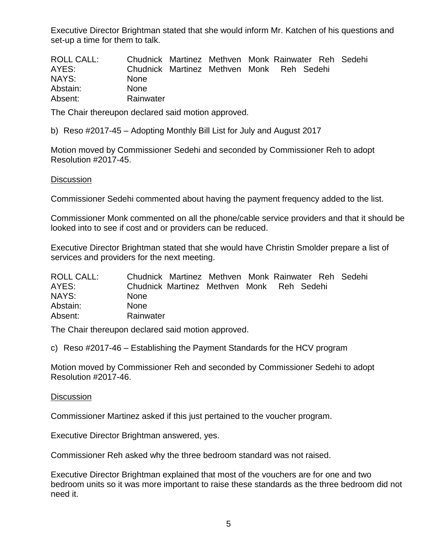Executive Director Brightman stated that she would inform Mr. Katchen of his questions and set-up a time for them to talk.

| ROLL CALL: | Chudnick Martinez Methven Monk Rainwater Reh Sedehi |  |  |  |
|------------|-----------------------------------------------------|--|--|--|
| AYES:      | Chudnick Martinez Methyen Monk Reh Sedehi           |  |  |  |
| NAYS:      | <b>None</b>                                         |  |  |  |
| Abstain:   | <b>None</b>                                         |  |  |  |
| Absent:    | Rainwater                                           |  |  |  |

The Chair thereupon declared said motion approved.

b) Reso #2017-45 – Adopting Monthly Bill List for July and August 2017

Motion moved by Commissioner Sedehi and seconded by Commissioner Reh to adopt Resolution #2017-45.

### **Discussion**

Commissioner Sedehi commented about having the payment frequency added to the list.

Commissioner Monk commented on all the phone/cable service providers and that it should be looked into to see if cost and or providers can be reduced.

Executive Director Brightman stated that she would have Christin Smolder prepare a list of services and providers for the next meeting.

| <b>ROLL CALL:</b> | Chudnick Martinez Methven Monk Rainwater Reh Sedehi |  |  |  |  |
|-------------------|-----------------------------------------------------|--|--|--|--|
| AYES:             | Chudnick Martinez Methven Monk Reh Sedehi           |  |  |  |  |
| NAYS:             | <b>None</b>                                         |  |  |  |  |
| Abstain:          | <b>None</b>                                         |  |  |  |  |
| Absent:           | Rainwater                                           |  |  |  |  |

The Chair thereupon declared said motion approved.

c) Reso #2017-46 – Establishing the Payment Standards for the HCV program

Motion moved by Commissioner Reh and seconded by Commissioner Sedehi to adopt Resolution #2017-46.

#### **Discussion**

Commissioner Martinez asked if this just pertained to the voucher program.

Executive Director Brightman answered, yes.

Commissioner Reh asked why the three bedroom standard was not raised.

Executive Director Brightman explained that most of the vouchers are for one and two bedroom units so it was more important to raise these standards as the three bedroom did not need it.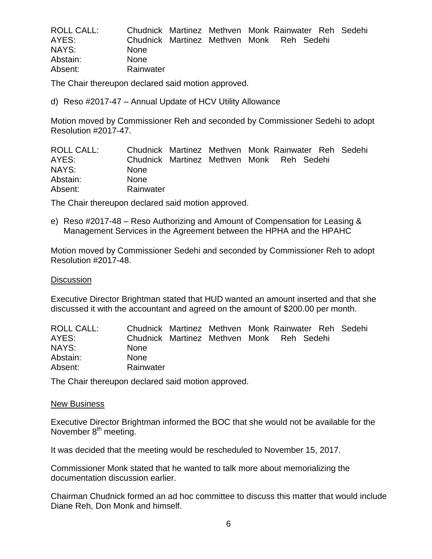| ROLL CALL: | Chudnick Martinez Methven Monk Rainwater Reh Sedehi |  |  |  |
|------------|-----------------------------------------------------|--|--|--|
| AYES:      | Chudnick Martinez Methven Monk Reh Sedehi           |  |  |  |
| NAYS:      | <b>None</b>                                         |  |  |  |
| Abstain:   | <b>None</b>                                         |  |  |  |
| Absent:    | Rainwater                                           |  |  |  |

The Chair thereupon declared said motion approved.

d) Reso #2017-47 – Annual Update of HCV Utility Allowance

Motion moved by Commissioner Reh and seconded by Commissioner Sedehi to adopt Resolution #2017-47.

| ROLL CALL: | Chudnick Martinez Methven Monk Rainwater Reh Sedehi |  |  |  |
|------------|-----------------------------------------------------|--|--|--|
| AYES:      | Chudnick Martinez Methyen Monk Reh Sedehi           |  |  |  |
| NAYS:      | <b>None</b>                                         |  |  |  |
| Abstain:   | <b>None</b>                                         |  |  |  |
| Absent:    | Rainwater                                           |  |  |  |

The Chair thereupon declared said motion approved.

e) Reso #2017-48 – Reso Authorizing and Amount of Compensation for Leasing & Management Services in the Agreement between the HPHA and the HPAHC

Motion moved by Commissioner Sedehi and seconded by Commissioner Reh to adopt Resolution #2017-48.

### **Discussion**

Executive Director Brightman stated that HUD wanted an amount inserted and that she discussed it with the accountant and agreed on the amount of \$200.00 per month.

| ROLL CALL: | Chudnick Martinez Methven Monk Rainwater Reh Sedehi |  |  |  |
|------------|-----------------------------------------------------|--|--|--|
| AYES:      | Chudnick Martinez Methven Monk Reh Sedehi           |  |  |  |
| NAYS:      | <b>None</b>                                         |  |  |  |
| Abstain:   | <b>None</b>                                         |  |  |  |
| Absent:    | Rainwater                                           |  |  |  |

The Chair thereupon declared said motion approved.

### New Business

Executive Director Brightman informed the BOC that she would not be available for the November 8<sup>th</sup> meeting.

It was decided that the meeting would be rescheduled to November 15, 2017.

Commissioner Monk stated that he wanted to talk more about memorializing the documentation discussion earlier.

Chairman Chudnick formed an ad hoc committee to discuss this matter that would include Diane Reh, Don Monk and himself.